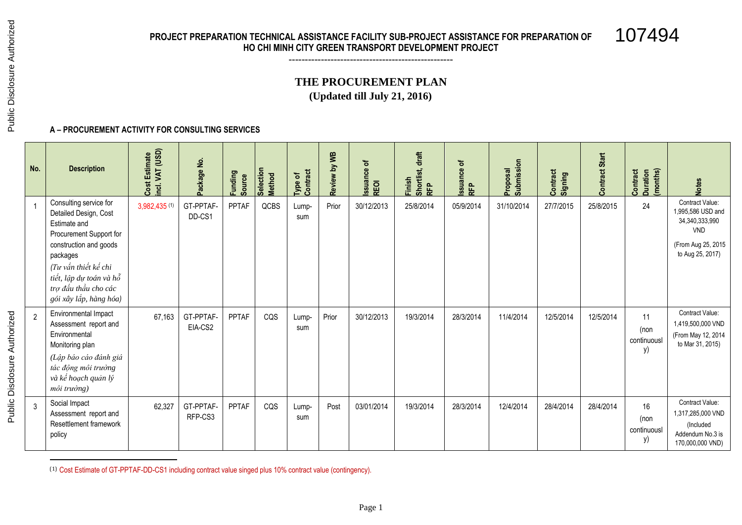107494

**THE PROCUREMENT PLAN (Updated till July 21, 2016)**

**---------------------------------------------------**

## **A – PROCUREMENT ACTIVITY FOR CONSULTING SERVICES**

| No. | <b>Description</b>                                                                                                                                                                                                                    | Cost Estimate<br>incl. VAT (USD) | Package No.          | Funding<br>Source | Selection<br><b>Method</b> | Contract<br>Type of | Review by WB | ssuance of<br>REOI | drat<br>Finish<br>Shortlist,<br>RFP | $\mathbf{r}$<br>Issuance<br>RFP | Submission<br><b>Proposal</b> | Contract<br>Signing | Contract Start | (months)<br><b>Duration</b><br>Contract | <b>Notes</b>                                                                                                   |
|-----|---------------------------------------------------------------------------------------------------------------------------------------------------------------------------------------------------------------------------------------|----------------------------------|----------------------|-------------------|----------------------------|---------------------|--------------|--------------------|-------------------------------------|---------------------------------|-------------------------------|---------------------|----------------|-----------------------------------------|----------------------------------------------------------------------------------------------------------------|
|     | Consulting service for<br>Detailed Design, Cost<br>Estimate and<br>Procurement Support for<br>construction and goods<br>packages<br>(Tư vấn thiết kế chi<br>tiết, lập dự toán và hỗ<br>trợ đấu thầu cho các<br>gói xây lắp, hàng hóa) | 3,982,435 (1)                    | GT-PPTAF-<br>DD-CS1  | <b>PPTAF</b>      | QCBS                       | Lump-<br>sum        | Prior        | 30/12/2013         | 25/8/2014                           | 05/9/2014                       | 31/10/2014                    | 27/7/2015           | 25/8/2015      | 24                                      | Contract Value:<br>1,995,586 USD and<br>34,340,333,990<br><b>VND</b><br>(From Aug 25, 2015<br>to Aug 25, 2017) |
| 2   | Environmental Impact<br>Assessment report and<br>Environmental<br>Monitoring plan<br>(Lập báo cáo đánh giá<br>tác động môi trường<br>và kế hoạch quản lý<br>môi trường)                                                               | 67,163                           | GT-PPTAF-<br>EIA-CS2 | <b>PPTAF</b>      | CQS                        | Lump-<br>sum        | Prior        | 30/12/2013         | 19/3/2014                           | 28/3/2014                       | 11/4/2014                     | 12/5/2014           | 12/5/2014      | 11<br>(non<br>continuousl<br>y)         | <b>Contract Value:</b><br>1,419,500,000 VND<br>(From May 12, 2014<br>to Mar 31, 2015)                          |
| -3  | Social Impact<br>Assessment report and<br>Resettlement framework<br>policy                                                                                                                                                            | 62,327                           | GT-PPTAF-<br>RFP-CS3 | <b>PPTAF</b>      | CQS                        | Lump-<br>sum        | Post         | 03/01/2014         | 19/3/2014                           | 28/3/2014                       | 12/4/2014                     | 28/4/2014           | 28/4/2014      | 16<br>(non<br>continuousl<br>y)         | Contract Value:<br>1,317,285,000 VND<br>(Included<br>Addendum No.3 is<br>170,000,000 VND)                      |

(1) Cost Estimate of GT-PPTAF-DD-CS1 including contract value singed plus 10% contract value (contingency).

 $\overline{a}$ 

Public Disclosure Authorized

Public Disclosure Authorized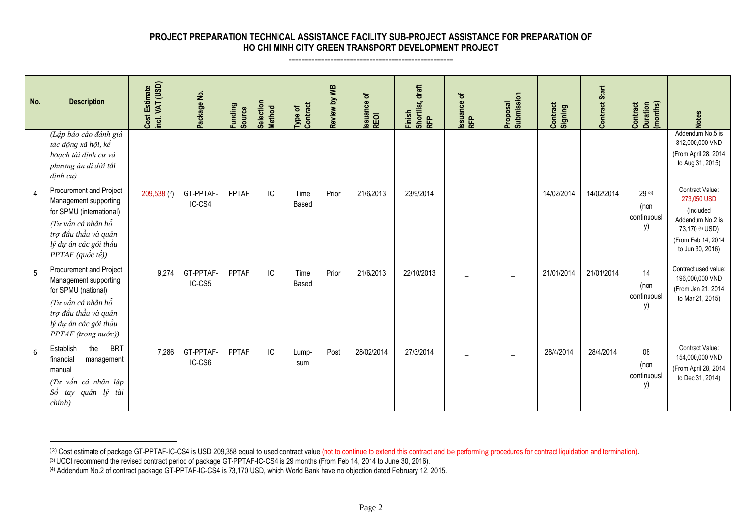| <b>Description</b>                                                                                                                                                        | ncl. VAT (USD)<br>Cost Estimate | Package No.         | Funding<br>Source | Selection<br><b>Method</b> | Type of<br>Contract | ₽<br>Review by | ssuance of<br>REOI | $dr$ aft<br>Shortlist,<br>RFP<br>Finish | ssuance of<br>쟎 | Submission<br><b>Proposal</b> | Contract<br>Signing | Contract Start | (months)<br>Contract<br>Duration   | Votes                                                                                                                        |
|---------------------------------------------------------------------------------------------------------------------------------------------------------------------------|---------------------------------|---------------------|-------------------|----------------------------|---------------------|----------------|--------------------|-----------------------------------------|-----------------|-------------------------------|---------------------|----------------|------------------------------------|------------------------------------------------------------------------------------------------------------------------------|
| (Lập báo cáo đánh giá<br>tác động xã hội, kế<br>hoạch tái định cư và<br>phương án di dời tái<br>dinh cv                                                                   |                                 |                     |                   |                            |                     |                |                    |                                         |                 |                               |                     |                |                                    | Addendum No.5 is<br>312,000,000 VND<br>(From April 28, 2014<br>to Aug 31, 2015)                                              |
| Procurement and Project<br>Management supporting<br>for SPMU (international)<br>(Tư vấn cá nhân hỗ<br>trợ đấu thầu và quản<br>lý dự án các gói thầu<br>$PPTAF$ (quốc tế)) | $209,538$ (2)                   | GT-PPTAF-<br>IC-CS4 | <b>PPTAF</b>      | IC                         | Time<br>Based       | Prior          | 21/6/2013          | 23/9/2014                               |                 |                               | 14/02/2014          | 14/02/2014     | 29(3)<br>(non<br>continuousl<br>y) | Contract Value:<br>273,050 USD<br>(Included<br>Addendum No.2 is<br>73,170 (4) USD)<br>(From Feb 14, 2014<br>to Jun 30, 2016) |
| Procurement and Project<br>Management supporting<br>for SPMU (national)<br>(Tư vấn cá nhân hỗ<br>trợ đấu thầu và quản<br>lý dư án các gói thầu                            | 9,274                           | GT-PPTAF-<br>IC-CS5 | <b>PPTAF</b>      | IC                         | Time<br>Based       | Prior          | 21/6/2013          | 22/10/2013                              |                 |                               | 21/01/2014          | 21/01/2014     | 14<br>(non<br>continuousl<br>y)    | Contract used value:<br>196,000,000 VND<br>(From Jan 21, 2014<br>to Mar 21, 2015)                                            |

Post 28/02/2014 27/3/2014 \_ \_ 28/4/2014 28/4/2014 08

(non continuousl y)

Contract Value: 154,000,000 VND (From April 28, 2014 to Dec 31, 2014)

**---------------------------------------------------**

(3) UCCI recommend the revised contract period of package GT-PPTAF-IC-CS4 is 29 months (From Feb 14, 2014 to June 30, 2016).

7,286 GT-PPTAF-IC-CS6

**No.** 

4

5

6

manual

*chính)*

 $\overline{a}$ 

*PPTAF (trong nước))*

Establish the BRT financial management

*(Tư vấn cá nhân lập Sổ tay quản lý tài*  PPTAF IC Lump-

sum

<sup>(2)</sup> Cost estimate of package GT-PPTAF-IC-CS4 is USD 209,358 equal to used contract value (not to continue to extend this contract and be performing procedures for contract liquidation and termination).

<sup>(4)</sup> Addendum No.2 of contract package GT-PPTAF-IC-CS4 is 73,170 USD, which World Bank have no objection dated February 12, 2015.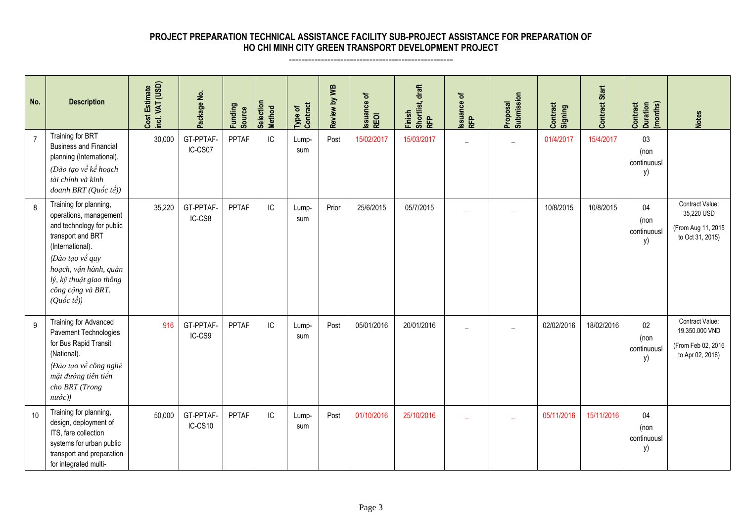| <b>Description</b>                                                                                                                                  | VAT (USD)<br><b>Estimate</b><br>$\cos t$<br>rei. | ackage No.           | Funding<br>Source | Selection<br><b>Method</b> | Type of<br>Contract | ŠБ<br>λá<br>Review | ㅎ<br>$\mathbf{a}$<br>ĕ<br>Issuan<br>REOI | drat<br>Finish<br>Shortlist,<br>RFP | ৳<br>Issuance<br>RFP | Submission<br>lesodo.<br>$\overline{a}$ | ontract<br>Contrac.<br>Signing | ntract Start | (months)<br>Contract<br><b>Duration</b> | <b>Notes</b>                                                            |
|-----------------------------------------------------------------------------------------------------------------------------------------------------|--------------------------------------------------|----------------------|-------------------|----------------------------|---------------------|--------------------|------------------------------------------|-------------------------------------|----------------------|-----------------------------------------|--------------------------------|--------------|-----------------------------------------|-------------------------------------------------------------------------|
| Training for BRT<br><b>Business and Financial</b><br>planning (International).<br>(Đào tạo về kế hoạch<br>tài chính và kinh<br>doanh BRT (Quốc tế)) | 30,000                                           | GT-PPTAF-<br>IC-CS07 | <b>PPTAF</b>      | IC                         | Lump-<br>sum        | Post               | 15/02/2017                               | 15/03/2017                          |                      | -                                       | 01/4/2017                      | 15/4/2017    | 03<br>(non<br>continuousl<br>y)         |                                                                         |
| Training for planning,<br>operations, management<br>and technology for public<br>transport and BRT<br>(International).<br>(Đào tạo về quy           | 35,220                                           | GT-PPTAF-<br>IC-CS8  | <b>PPTAF</b>      | IC                         | Lump-<br>sum        | Prior              | 25/6/2015                                | 05/7/2015                           |                      |                                         | 10/8/2015                      | 10/8/2015    | 04<br>(non<br>continuousl<br>y)         | Contract Value:<br>35,220 USD<br>(From Aug 11, 2015<br>to Oct 31, 2015) |

**---------------------------------------------------**

**No. D** 

7

| 8  | Training for planning,<br>operations, management<br>and technology for public<br>transport and BRT<br>(International).<br>(Đào tạo về quy<br>hoạch, vận hành, quản<br>lý, kỹ thuật giao thông<br>công cộng và BRT.<br>$(Qu\acute{o}c t\acute{e})$ | 35,220 | GT-PPTAF-<br>IC-CS8  | <b>PPTAF</b> | IC | Lump-<br>sum | Prior | 25/6/2015  | 05/7/2015  |  | 10/8/2015  | 10/8/2015  | 04<br>(non<br>continuousl<br>y) | Contract Value:<br>35,220 USD<br>(From Aug 11, 2015<br>to Oct 31, 2015)     |
|----|---------------------------------------------------------------------------------------------------------------------------------------------------------------------------------------------------------------------------------------------------|--------|----------------------|--------------|----|--------------|-------|------------|------------|--|------------|------------|---------------------------------|-----------------------------------------------------------------------------|
| 9  | Training for Advanced<br>Pavement Technologies<br>for Bus Rapid Transit<br>(National).<br>(Đào tạo về công nghệ<br>mặt đường tiên tiến<br>cho BRT (Trong<br>$n\vec{w}$ )                                                                          | 916    | GT-PPTAF-<br>IC-CS9  | PPTAF        | IC | Lump-<br>sum | Post  | 05/01/2016 | 20/01/2016 |  | 02/02/2016 | 18/02/2016 | 02<br>(non<br>continuousl<br>y) | Contract Value:<br>19.350.000 VND<br>(From Feb 02, 2016<br>to Apr 02, 2016) |
| 10 | Training for planning,<br>design, deployment of<br>ITS, fare collection<br>systems for urban public<br>transport and preparation<br>for integrated multi-                                                                                         | 50,000 | GT-PPTAF-<br>IC-CS10 | PPTAF        | IC | Lump-<br>sum | Post  | 01/10/2016 | 25/10/2016 |  | 05/11/2016 | 15/11/2016 | 04<br>(non<br>continuousl<br>y) |                                                                             |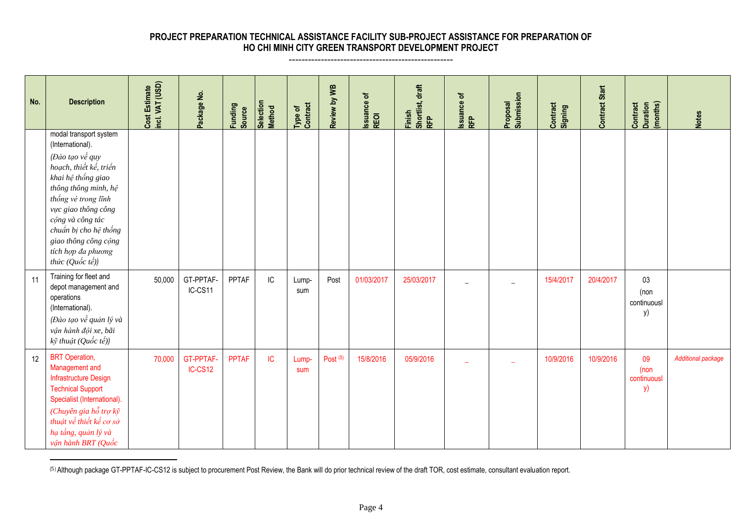#### **PROJECT PREPARATION TECHNICAL ASSISTANCE FACILITY SUB-PROJECT ASSISTANCE FOR PREPARATION OF HO CHI MINH CITY GREEN TRANSPORT DEVELOPMENT PROJECT ---------------------------------------------------**

| No. | <b>Description</b>                                                                                                                                                                                                                                                                                  | ncl. VAT (USD)<br>Cost Estimate | Package No.          | Funding<br>Source | Selection<br>Method | Type of<br>Contract | Review by WB        | <b>Issuance of<br/>REOI</b> | Shortlist, draft<br>RFP<br>inish | <b>Issuance of<br/>RFP</b> | Submission<br>Proposal | Contract<br>Signing | <b>Contract Start</b> | Duration<br>(months)<br>Contract | <b>Notes</b>              |
|-----|-----------------------------------------------------------------------------------------------------------------------------------------------------------------------------------------------------------------------------------------------------------------------------------------------------|---------------------------------|----------------------|-------------------|---------------------|---------------------|---------------------|-----------------------------|----------------------------------|----------------------------|------------------------|---------------------|-----------------------|----------------------------------|---------------------------|
|     | modal transport system<br>(International).<br>(Đào tạo về quy<br>hoạch, thiết kế, triển<br>khai hệ thống giao<br>thông thông minh, hệ<br>thống vé trong lĩnh<br>vực giao thông công<br>cộng và công tác<br>chuẩn bị cho hệ thống<br>giao thông công cộng<br>tích hợp đa phương<br>thức $(Qu$ ốc tế) |                                 |                      |                   |                     |                     |                     |                             |                                  |                            |                        |                     |                       |                                  |                           |
| 11  | Training for fleet and<br>depot management and<br>operations<br>(International).<br>(Đào tạo về quản lý và<br>vận hành đội xe, bãi<br>kỹ thuật (Quốc tế))                                                                                                                                           | 50,000                          | GT-PPTAF-<br>IC-CS11 | PPTAF             | IC                  | Lump-<br>sum        | Post                | 01/03/2017                  | 25/03/2017                       |                            |                        | 15/4/2017           | 20/4/2017             | 03<br>(non<br>continuousl<br>y)  |                           |
| 12  | <b>BRT</b> Operation,<br>Management and<br><b>Infrastructure Design</b><br><b>Technical Support</b><br>Specialist (International).<br>(Chuyên gia hỗ trợ kỹ<br>thuật về thiết kế cơ sở<br>hạ tầng, quản lý và<br>vận hành BRT (Quốc                                                                 | 70,000                          | GT-PPTAF-<br>IC-CS12 | <b>PPTAF</b>      | IC                  | Lump-<br>sum        | Post <sup>(5)</sup> | 15/8/2016                   | 05/9/2016                        |                            |                        | 10/9/2016           | 10/9/2016             | 09<br>(non<br>continuousl<br>y)  | <b>Additional package</b> |

<sup>(</sup>5) Although package GT-PPTAF-IC-CS12 is subject to procurement Post Review, the Bank will do prior technical review of the draft TOR, cost estimate, consultant evaluation report.

 $\overline{a}$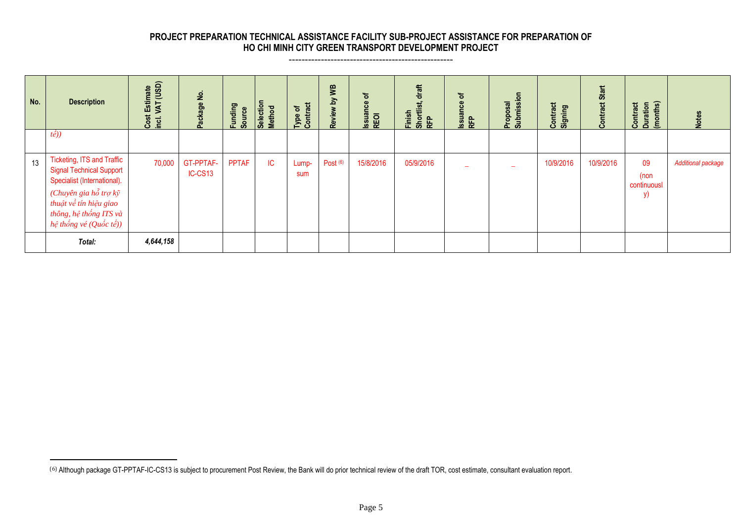| No. | <b>Description</b>                                                                                                                                                                                  | Cost Estimate<br>incl. VAT (USD) | ackage No.           | unding<br>Source | <b>Selection</b><br><b>Method</b> | ontract<br>৳<br>Type<br>$\epsilon$ | Review by WB | <b>Issuance of<br/>REOI</b> | drat<br>Finish<br>Shortlist,<br>RFP | $\overline{\sigma}$<br>Issuance<br>RFP | Proposal<br>Submission | Contract<br>Signing | Start<br>$\epsilon$ | Duration<br>(months)<br>Contract | <b>Notes</b>              |
|-----|-----------------------------------------------------------------------------------------------------------------------------------------------------------------------------------------------------|----------------------------------|----------------------|------------------|-----------------------------------|------------------------------------|--------------|-----------------------------|-------------------------------------|----------------------------------------|------------------------|---------------------|---------------------|----------------------------------|---------------------------|
|     | $t\hat{e})$                                                                                                                                                                                         |                                  |                      |                  |                                   |                                    |              |                             |                                     |                                        |                        |                     |                     |                                  |                           |
| 13  | Ticketing, ITS and Traffic<br><b>Signal Technical Support</b><br>Specialist (International).<br>(Chuyên gia hỗ trợ kỹ<br>thuật về tín hiệu giao<br>thông, hệ thống ITS và<br>hệ thống vé (Quốc tế)) | 70,000                           | GT-PPTAF-<br>IC-CS13 | <b>PPTAF</b>     | IC                                | Lump-<br>sum                       | Post $(6)$   | 15/8/2016                   | 05/9/2016                           |                                        |                        | 10/9/2016           | 10/9/2016           | 09<br>(non<br>continuousl<br>y)  | <b>Additional package</b> |
|     | Total:                                                                                                                                                                                              | 4,644,158                        |                      |                  |                                   |                                    |              |                             |                                     |                                        |                        |                     |                     |                                  |                           |

**---------------------------------------------------**

 $\overline{a}$ 

<sup>(6)</sup> Although package GT-PPTAF-IC-CS13 is subject to procurement Post Review, the Bank will do prior technical review of the draft TOR, cost estimate, consultant evaluation report.